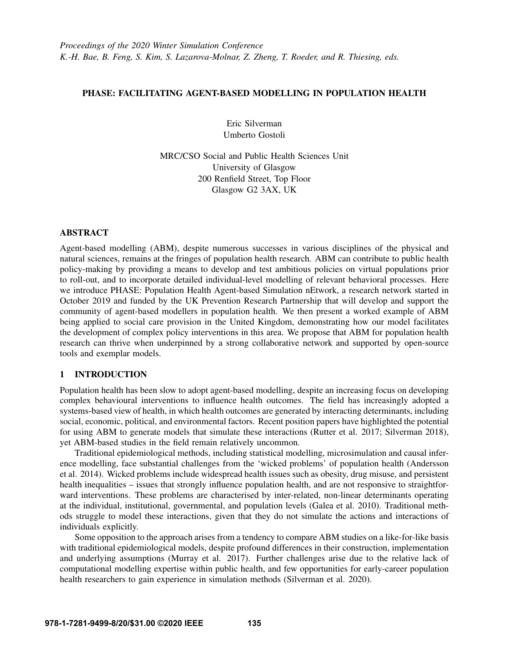### PHASE: FACILITATING AGENT-BASED MODELLING IN POPULATION HEALTH

Eric Silverman Umberto Gostoli

MRC/CSO Social and Public Health Sciences Unit University of Glasgow 200 Renfield Street, Top Floor Glasgow G2 3AX, UK

## ABSTRACT

Agent-based modelling (ABM), despite numerous successes in various disciplines of the physical and natural sciences, remains at the fringes of population health research. ABM can contribute to public health policy-making by providing a means to develop and test ambitious policies on virtual populations prior to roll-out, and to incorporate detailed individual-level modelling of relevant behavioral processes. Here we introduce PHASE: Population Health Agent-based Simulation nEtwork, a research network started in October 2019 and funded by the UK Prevention Research Partnership that will develop and support the community of agent-based modellers in population health. We then present a worked example of ABM being applied to social care provision in the United Kingdom, demonstrating how our model facilitates the development of complex policy interventions in this area. We propose that ABM for population health research can thrive when underpinned by a strong collaborative network and supported by open-source tools and exemplar models.

# 1 INTRODUCTION

Population health has been slow to adopt agent-based modelling, despite an increasing focus on developing complex behavioural interventions to influence health outcomes. The field has increasingly adopted a systems-based view of health, in which health outcomes are generated by interacting determinants, including social, economic, political, and environmental factors. Recent position papers have highlighted the potential for using ABM to generate models that simulate these interactions [\(Rutter et al. 2017;](#page-11-0) [Silverman 2018\)](#page-11-1), yet ABM-based studies in the field remain relatively uncommon.

Traditional epidemiological methods, including statistical modelling, microsimulation and causal inference modelling, face substantial challenges from the 'wicked problems' of population health [\(Andersson](#page-11-2) [et al. 2014\)](#page-11-2). Wicked problems include widespread health issues such as obesity, drug misuse, and persistent health inequalities – issues that strongly influence population health, and are not responsive to straightforward interventions. These problems are characterised by inter-related, non-linear determinants operating at the individual, institutional, governmental, and population levels [\(Galea et al. 2010\)](#page-11-3). Traditional methods struggle to model these interactions, given that they do not simulate the actions and interactions of individuals explicitly.

Some opposition to the approach arises from a tendency to compare ABM studies on a like-for-like basis with traditional epidemiological models, despite profound differences in their construction, implementation and underlying assumptions [\(Murray et al. 2017\)](#page-11-4). Further challenges arise due to the relative lack of computational modelling expertise within public health, and few opportunities for early-career population health researchers to gain experience in simulation methods [\(Silverman et al. 2020\)](#page-11-5).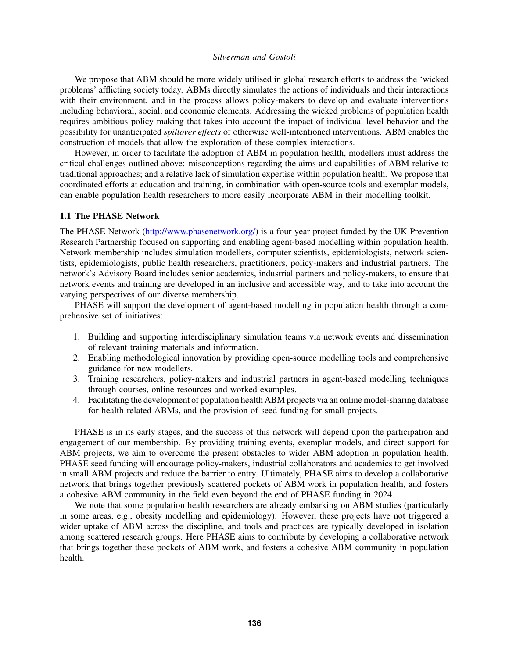We propose that ABM should be more widely utilised in global research efforts to address the 'wicked problems' afflicting society today. ABMs directly simulates the actions of individuals and their interactions with their environment, and in the process allows policy-makers to develop and evaluate interventions including behavioral, social, and economic elements. Addressing the wicked problems of population health requires ambitious policy-making that takes into account the impact of individual-level behavior and the possibility for unanticipated *spillover effects* of otherwise well-intentioned interventions. ABM enables the construction of models that allow the exploration of these complex interactions.

However, in order to facilitate the adoption of ABM in population health, modellers must address the critical challenges outlined above: misconceptions regarding the aims and capabilities of ABM relative to traditional approaches; and a relative lack of simulation expertise within population health. We propose that coordinated efforts at education and training, in combination with open-source tools and exemplar models, can enable population health researchers to more easily incorporate ABM in their modelling toolkit.

#### 1.1 The PHASE Network

The PHASE Network [\(http://www.phasenetwork.org/\)](http://www.phasenetwork.org/) is a four-year project funded by the UK Prevention Research Partnership focused on supporting and enabling agent-based modelling within population health. Network membership includes simulation modellers, computer scientists, epidemiologists, network scientists, epidemiologists, public health researchers, practitioners, policy-makers and industrial partners. The network's Advisory Board includes senior academics, industrial partners and policy-makers, to ensure that network events and training are developed in an inclusive and accessible way, and to take into account the varying perspectives of our diverse membership.

PHASE will support the development of agent-based modelling in population health through a comprehensive set of initiatives:

- 1. Building and supporting interdisciplinary simulation teams via network events and dissemination of relevant training materials and information.
- 2. Enabling methodological innovation by providing open-source modelling tools and comprehensive guidance for new modellers.
- 3. Training researchers, policy-makers and industrial partners in agent-based modelling techniques through courses, online resources and worked examples.
- 4. Facilitating the development of population health ABM projects via an online model-sharing database for health-related ABMs, and the provision of seed funding for small projects.

PHASE is in its early stages, and the success of this network will depend upon the participation and engagement of our membership. By providing training events, exemplar models, and direct support for ABM projects, we aim to overcome the present obstacles to wider ABM adoption in population health. PHASE seed funding will encourage policy-makers, industrial collaborators and academics to get involved in small ABM projects and reduce the barrier to entry. Ultimately, PHASE aims to develop a collaborative network that brings together previously scattered pockets of ABM work in population health, and fosters a cohesive ABM community in the field even beyond the end of PHASE funding in 2024.

We note that some population health researchers are already embarking on ABM studies (particularly in some areas, e.g., obesity modelling and epidemiology). However, these projects have not triggered a wider uptake of ABM across the discipline, and tools and practices are typically developed in isolation among scattered research groups. Here PHASE aims to contribute by developing a collaborative network that brings together these pockets of ABM work, and fosters a cohesive ABM community in population health.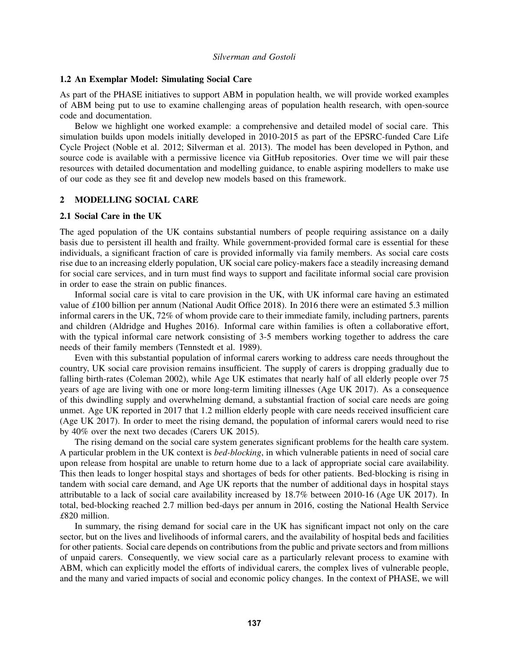#### 1.2 An Exemplar Model: Simulating Social Care

As part of the PHASE initiatives to support ABM in population health, we will provide worked examples of ABM being put to use to examine challenging areas of population health research, with open-source code and documentation.

Below we highlight one worked example: a comprehensive and detailed model of social care. This simulation builds upon models initially developed in 2010-2015 as part of the EPSRC-funded Care Life Cycle Project [\(Noble et al. 2012;](#page-11-6) [Silverman et al. 2013\)](#page-11-7). The model has been developed in Python, and source code is available with a permissive licence via GitHub repositories. Over time we will pair these resources with detailed documentation and modelling guidance, to enable aspiring modellers to make use of our code as they see fit and develop new models based on this framework.

#### 2 MODELLING SOCIAL CARE

#### 2.1 Social Care in the UK

The aged population of the UK contains substantial numbers of people requiring assistance on a daily basis due to persistent ill health and frailty. While government-provided formal care is essential for these individuals, a significant fraction of care is provided informally via family members. As social care costs rise due to an increasing elderly population, UK social care policy-makers face a steadily increasing demand for social care services, and in turn must find ways to support and facilitate informal social care provision in order to ease the strain on public finances.

Informal social care is vital to care provision in the UK, with UK informal care having an estimated value of *£*100 billion per annum [\(National Audit Office 2018\)](#page-11-8). In 2016 there were an estimated 5.3 million informal carers in the UK, 72% of whom provide care to their immediate family, including partners, parents and children [\(Aldridge and Hughes 2016\)](#page-11-9). Informal care within families is often a collaborative effort, with the typical informal care network consisting of 3-5 members working together to address the care needs of their family members [\(Tennstedt et al. 1989\)](#page-11-10).

Even with this substantial population of informal carers working to address care needs throughout the country, UK social care provision remains insufficient. The supply of carers is dropping gradually due to falling birth-rates [\(Coleman 2002\)](#page-11-11), while Age UK estimates that nearly half of all elderly people over 75 years of age are living with one or more long-term limiting illnesses [\(Age UK 2017\)](#page-11-12). As a consequence of this dwindling supply and overwhelming demand, a substantial fraction of social care needs are going unmet. Age UK reported in 2017 that 1.2 million elderly people with care needs received insufficient care [\(Age UK 2017\)](#page-11-12). In order to meet the rising demand, the population of informal carers would need to rise by 40% over the next two decades [\(Carers UK 2015\)](#page-11-13).

The rising demand on the social care system generates significant problems for the health care system. A particular problem in the UK context is *bed-blocking*, in which vulnerable patients in need of social care upon release from hospital are unable to return home due to a lack of appropriate social care availability. This then leads to longer hospital stays and shortages of beds for other patients. Bed-blocking is rising in tandem with social care demand, and Age UK reports that the number of additional days in hospital stays attributable to a lack of social care availability increased by 18.7% between 2010-16 [\(Age UK 2017\)](#page-11-12). In total, bed-blocking reached 2.7 million bed-days per annum in 2016, costing the National Health Service *£*820 million.

In summary, the rising demand for social care in the UK has significant impact not only on the care sector, but on the lives and livelihoods of informal carers, and the availability of hospital beds and facilities for other patients. Social care depends on contributions from the public and private sectors and from millions of unpaid carers. Consequently, we view social care as a particularly relevant process to examine with ABM, which can explicitly model the efforts of individual carers, the complex lives of vulnerable people, and the many and varied impacts of social and economic policy changes. In the context of PHASE, we will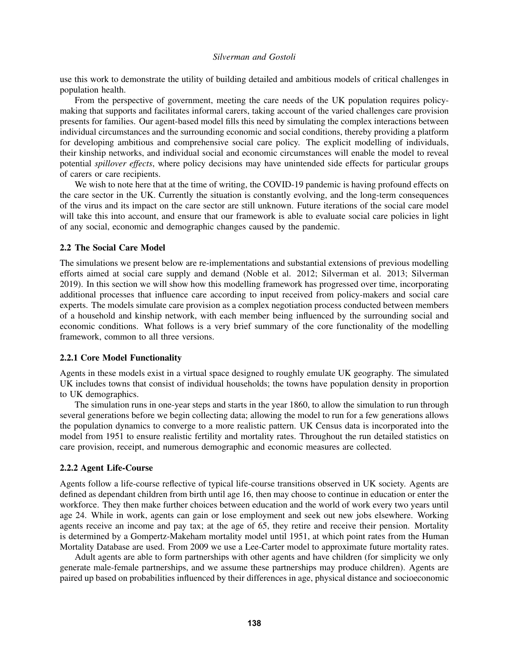use this work to demonstrate the utility of building detailed and ambitious models of critical challenges in population health.

From the perspective of government, meeting the care needs of the UK population requires policymaking that supports and facilitates informal carers, taking account of the varied challenges care provision presents for families. Our agent-based model fills this need by simulating the complex interactions between individual circumstances and the surrounding economic and social conditions, thereby providing a platform for developing ambitious and comprehensive social care policy. The explicit modelling of individuals, their kinship networks, and individual social and economic circumstances will enable the model to reveal potential *spillover effects*, where policy decisions may have unintended side effects for particular groups of carers or care recipients.

We wish to note here that at the time of writing, the COVID-19 pandemic is having profound effects on the care sector in the UK. Currently the situation is constantly evolving, and the long-term consequences of the virus and its impact on the care sector are still unknown. Future iterations of the social care model will take this into account, and ensure that our framework is able to evaluate social care policies in light of any social, economic and demographic changes caused by the pandemic.

### 2.2 The Social Care Model

The simulations we present below are re-implementations and substantial extensions of previous modelling efforts aimed at social care supply and demand [\(Noble et al. 2012;](#page-11-6) [Silverman et al. 2013;](#page-11-7) [Silverman](#page-11-14) [2019\)](#page-11-14). In this section we will show how this modelling framework has progressed over time, incorporating additional processes that influence care according to input received from policy-makers and social care experts. The models simulate care provision as a complex negotiation process conducted between members of a household and kinship network, with each member being influenced by the surrounding social and economic conditions. What follows is a very brief summary of the core functionality of the modelling framework, common to all three versions.

### 2.2.1 Core Model Functionality

Agents in these models exist in a virtual space designed to roughly emulate UK geography. The simulated UK includes towns that consist of individual households; the towns have population density in proportion to UK demographics.

The simulation runs in one-year steps and starts in the year 1860, to allow the simulation to run through several generations before we begin collecting data; allowing the model to run for a few generations allows the population dynamics to converge to a more realistic pattern. UK Census data is incorporated into the model from 1951 to ensure realistic fertility and mortality rates. Throughout the run detailed statistics on care provision, receipt, and numerous demographic and economic measures are collected.

# 2.2.2 Agent Life-Course

Agents follow a life-course reflective of typical life-course transitions observed in UK society. Agents are defined as dependant children from birth until age 16, then may choose to continue in education or enter the workforce. They then make further choices between education and the world of work every two years until age 24. While in work, agents can gain or lose employment and seek out new jobs elsewhere. Working agents receive an income and pay tax; at the age of 65, they retire and receive their pension. Mortality is determined by a Gompertz-Makeham mortality model until 1951, at which point rates from the Human Mortality Database are used. From 2009 we use a Lee-Carter model to approximate future mortality rates.

Adult agents are able to form partnerships with other agents and have children (for simplicity we only generate male-female partnerships, and we assume these partnerships may produce children). Agents are paired up based on probabilities influenced by their differences in age, physical distance and socioeconomic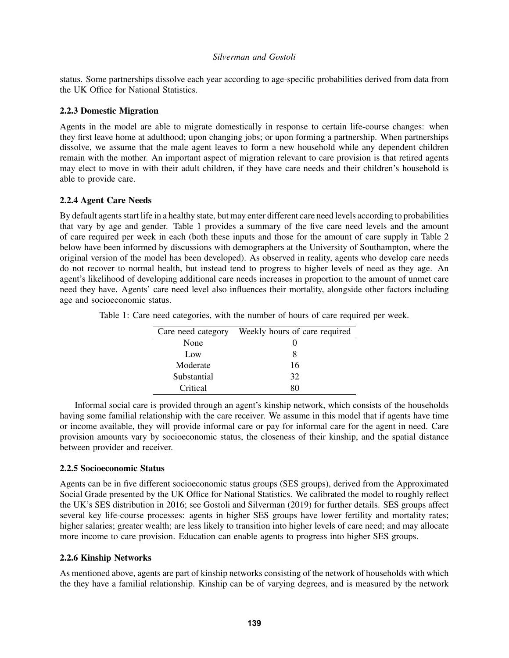status. Some partnerships dissolve each year according to age-specific probabilities derived from data from the UK Office for National Statistics.

## 2.2.3 Domestic Migration

Agents in the model are able to migrate domestically in response to certain life-course changes: when they first leave home at adulthood; upon changing jobs; or upon forming a partnership. When partnerships dissolve, we assume that the male agent leaves to form a new household while any dependent children remain with the mother. An important aspect of migration relevant to care provision is that retired agents may elect to move in with their adult children, if they have care needs and their children's household is able to provide care.

# 2.2.4 Agent Care Needs

By default agents start life in a healthy state, but may enter different care need levels according to probabilities that vary by age and gender. Table [1](#page-4-0) provides a summary of the five care need levels and the amount of care required per week in each (both these inputs and those for the amount of care supply in Table [2](#page-5-0) below have been informed by discussions with demographers at the University of Southampton, where the original version of the model has been developed). As observed in reality, agents who develop care needs do not recover to normal health, but instead tend to progress to higher levels of need as they age. An agent's likelihood of developing additional care needs increases in proportion to the amount of unmet care need they have. Agents' care need level also influences their mortality, alongside other factors including age and socioeconomic status.

Table 1: Care need categories, with the number of hours of care required per week.

<span id="page-4-0"></span>

| Care need category | Weekly hours of care required |
|--------------------|-------------------------------|
| None               |                               |
| Low                | x                             |
| Moderate           | 16                            |
| Substantial        | 32                            |
| Critical           | ×⊔                            |

Informal social care is provided through an agent's kinship network, which consists of the households having some familial relationship with the care receiver. We assume in this model that if agents have time or income available, they will provide informal care or pay for informal care for the agent in need. Care provision amounts vary by socioeconomic status, the closeness of their kinship, and the spatial distance between provider and receiver.

# 2.2.5 Socioeconomic Status

Agents can be in five different socioeconomic status groups (SES groups), derived from the Approximated Social Grade presented by the UK Office for National Statistics. We calibrated the model to roughly reflect the UK's SES distribution in 2016; see Gostoli and Silverman (2019) for further details. SES groups affect several key life-course processes: agents in higher SES groups have lower fertility and mortality rates; higher salaries; greater wealth; are less likely to transition into higher levels of care need; and may allocate more income to care provision. Education can enable agents to progress into higher SES groups.

# 2.2.6 Kinship Networks

As mentioned above, agents are part of kinship networks consisting of the network of households with which the they have a familial relationship. Kinship can be of varying degrees, and is measured by the network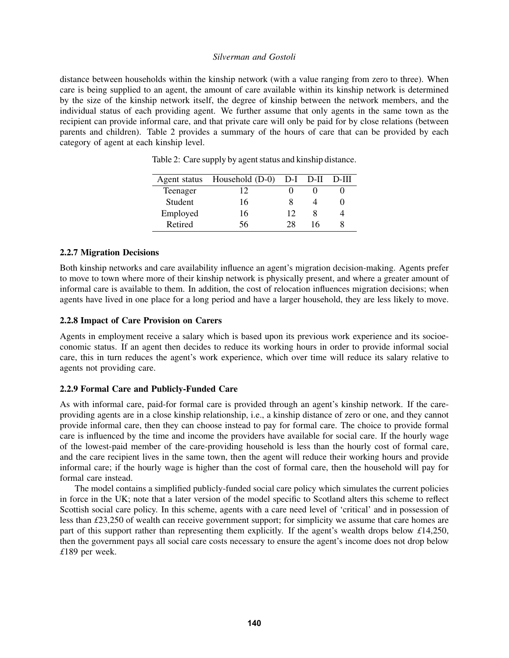distance between households within the kinship network (with a value ranging from zero to three). When care is being supplied to an agent, the amount of care available within its kinship network is determined by the size of the kinship network itself, the degree of kinship between the network members, and the individual status of each providing agent. We further assume that only agents in the same town as the recipient can provide informal care, and that private care will only be paid for by close relations (between parents and children). Table [2](#page-5-0) provides a summary of the hours of care that can be provided by each category of agent at each kinship level.

| Agent status | Household (D-0) D-I D-II |    |    | D-III |
|--------------|--------------------------|----|----|-------|
| Teenager     | 12                       |    |    |       |
| Student      | 16                       |    |    |       |
| Employed     | 16                       | 12 |    |       |
| Retired      | ٦h                       | 28 | 16 |       |

<span id="page-5-0"></span>Table 2: Care supply by agent status and kinship distance.

### 2.2.7 Migration Decisions

Both kinship networks and care availability influence an agent's migration decision-making. Agents prefer to move to town where more of their kinship network is physically present, and where a greater amount of informal care is available to them. In addition, the cost of relocation influences migration decisions; when agents have lived in one place for a long period and have a larger household, they are less likely to move.

# 2.2.8 Impact of Care Provision on Carers

Agents in employment receive a salary which is based upon its previous work experience and its socioeconomic status. If an agent then decides to reduce its working hours in order to provide informal social care, this in turn reduces the agent's work experience, which over time will reduce its salary relative to agents not providing care.

### 2.2.9 Formal Care and Publicly-Funded Care

As with informal care, paid-for formal care is provided through an agent's kinship network. If the careproviding agents are in a close kinship relationship, i.e., a kinship distance of zero or one, and they cannot provide informal care, then they can choose instead to pay for formal care. The choice to provide formal care is influenced by the time and income the providers have available for social care. If the hourly wage of the lowest-paid member of the care-providing household is less than the hourly cost of formal care, and the care recipient lives in the same town, then the agent will reduce their working hours and provide informal care; if the hourly wage is higher than the cost of formal care, then the household will pay for formal care instead.

The model contains a simplified publicly-funded social care policy which simulates the current policies in force in the UK; note that a later version of the model specific to Scotland alters this scheme to reflect Scottish social care policy. In this scheme, agents with a care need level of 'critical' and in possession of less than *£*23,250 of wealth can receive government support; for simplicity we assume that care homes are part of this support rather than representing them explicitly. If the agent's wealth drops below *£*14,250, then the government pays all social care costs necessary to ensure the agent's income does not drop below *£*189 per week.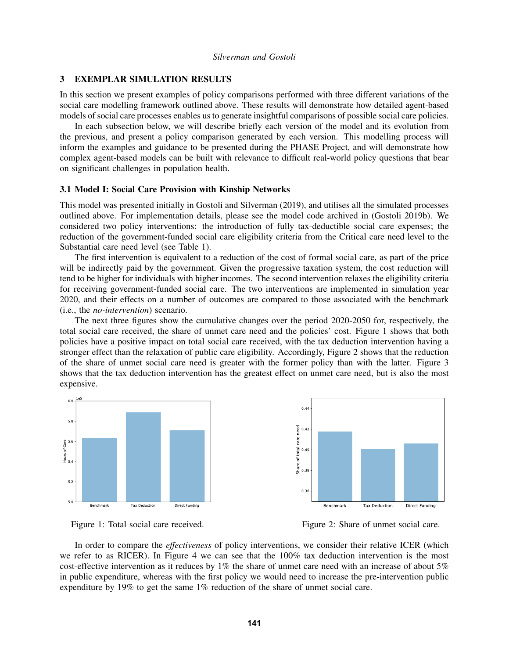### 3 EXEMPLAR SIMULATION RESULTS

In this section we present examples of policy comparisons performed with three different variations of the social care modelling framework outlined above. These results will demonstrate how detailed agent-based models of social care processes enables us to generate insightful comparisons of possible social care policies.

In each subsection below, we will describe briefly each version of the model and its evolution from the previous, and present a policy comparison generated by each version. This modelling process will inform the examples and guidance to be presented during the PHASE Project, and will demonstrate how complex agent-based models can be built with relevance to difficult real-world policy questions that bear on significant challenges in population health.

#### 3.1 Model I: Social Care Provision with Kinship Networks

This model was presented initially in [Gostoli and Silverman \(2019\),](#page-11-15) and utilises all the simulated processes outlined above. For implementation details, please see the model code archived in [\(Gostoli 2019b\)](#page-11-16). We considered two policy interventions: the introduction of fully tax-deductible social care expenses; the reduction of the government-funded social care eligibility criteria from the Critical care need level to the Substantial care need level (see Table [1\)](#page-4-0).

The first intervention is equivalent to a reduction of the cost of formal social care, as part of the price will be indirectly paid by the government. Given the progressive taxation system, the cost reduction will tend to be higher for individuals with higher incomes. The second intervention relaxes the eligibility criteria for receiving government-funded social care. The two interventions are implemented in simulation year 2020, and their effects on a number of outcomes are compared to those associated with the benchmark (i.e., the *no-intervention*) scenario.

The next three figures show the cumulative changes over the period 2020-2050 for, respectively, the total social care received, the share of unmet care need and the policies' cost. Figure [1](#page-6-0) shows that both policies have a positive impact on total social care received, with the tax deduction intervention having a stronger effect than the relaxation of public care eligibility. Accordingly, Figure [2](#page-6-1) shows that the reduction of the share of unmet social care need is greater with the former policy than with the latter. Figure [3](#page-7-0) shows that the tax deduction intervention has the greatest effect on unmet care need, but is also the most expensive.





<span id="page-6-0"></span>Figure 1: Total social care received.

<span id="page-6-1"></span>Figure 2: Share of unmet social care.

In order to compare the *effectiveness* of policy interventions, we consider their relative ICER (which we refer to as RICER). In Figure [4](#page-7-1) we can see that the 100% tax deduction intervention is the most cost-effective intervention as it reduces by  $1\%$  the share of unmet care need with an increase of about  $5\%$ in public expenditure, whereas with the first policy we would need to increase the pre-intervention public expenditure by 19% to get the same 1% reduction of the share of unmet social care.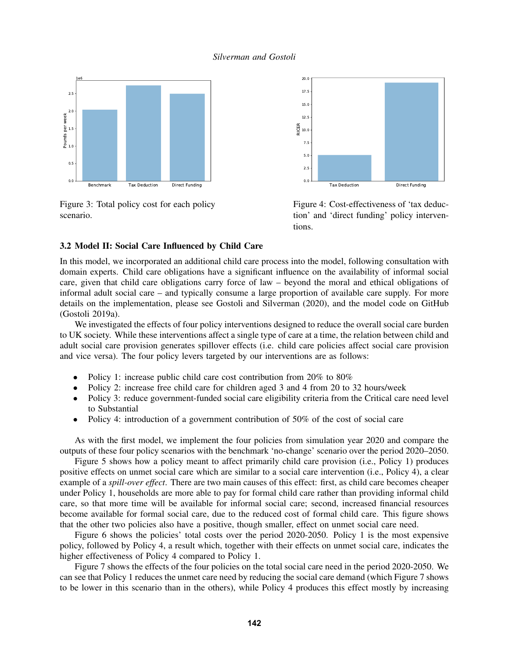

<span id="page-7-0"></span>Figure 3: Total policy cost for each policy scenario.



<span id="page-7-1"></span>Figure 4: Cost-effectiveness of 'tax deduction' and 'direct funding' policy interventions.

## 3.2 Model II: Social Care Influenced by Child Care

In this model, we incorporated an additional child care process into the model, following consultation with domain experts. Child care obligations have a significant influence on the availability of informal social care, given that child care obligations carry force of law – beyond the moral and ethical obligations of informal adult social care – and typically consume a large proportion of available care supply. For more details on the implementation, please see [Gostoli and Silverman \(2020\),](#page-11-17) and the model code on GitHub [\(Gostoli 2019a\)](#page-11-18).

We investigated the effects of four policy interventions designed to reduce the overall social care burden to UK society. While these interventions affect a single type of care at a time, the relation between child and adult social care provision generates spillover effects (i.e. child care policies affect social care provision and vice versa). The four policy levers targeted by our interventions are as follows:

- Policy 1: increase public child care cost contribution from 20% to 80%
- Policy 2: increase free child care for children aged 3 and 4 from 20 to 32 hours/week
- Policy 3: reduce government-funded social care eligibility criteria from the Critical care need level to Substantial
- Policy 4: introduction of a government contribution of 50% of the cost of social care

As with the first model, we implement the four policies from simulation year 2020 and compare the outputs of these four policy scenarios with the benchmark 'no-change' scenario over the period 2020–2050.

Figure [5](#page-8-0) shows how a policy meant to affect primarily child care provision (i.e., Policy 1) produces positive effects on unmet social care which are similar to a social care intervention (i.e., Policy 4), a clear example of a *spill-over effect*. There are two main causes of this effect: first, as child care becomes cheaper under Policy 1, households are more able to pay for formal child care rather than providing informal child care, so that more time will be available for informal social care; second, increased financial resources become available for formal social care, due to the reduced cost of formal child care. This figure shows that the other two policies also have a positive, though smaller, effect on unmet social care need.

Figure [6](#page-8-1) shows the policies' total costs over the period 2020-2050. Policy 1 is the most expensive policy, followed by Policy 4, a result which, together with their effects on unmet social care, indicates the higher effectiveness of Policy 4 compared to Policy 1.

Figure [7](#page-8-2) shows the effects of the four policies on the total social care need in the period 2020-2050. We can see that Policy 1 reduces the unmet care need by reducing the social care demand (which Figure [7](#page-8-2) shows to be lower in this scenario than in the others), while Policy 4 produces this effect mostly by increasing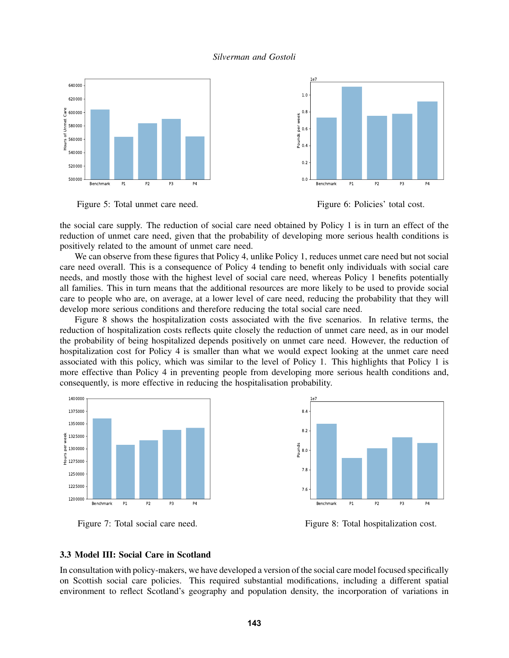



<span id="page-8-0"></span>Figure 5: Total unmet care need.

<span id="page-8-1"></span>Figure 6: Policies' total cost.

the social care supply. The reduction of social care need obtained by Policy 1 is in turn an effect of the reduction of unmet care need, given that the probability of developing more serious health conditions is positively related to the amount of unmet care need.

We can observe from these figures that Policy 4, unlike Policy 1, reduces unmet care need but not social care need overall. This is a consequence of Policy 4 tending to benefit only individuals with social care needs, and mostly those with the highest level of social care need, whereas Policy 1 benefits potentially all families. This in turn means that the additional resources are more likely to be used to provide social care to people who are, on average, at a lower level of care need, reducing the probability that they will develop more serious conditions and therefore reducing the total social care need.

Figure [8](#page-8-3) shows the hospitalization costs associated with the five scenarios. In relative terms, the reduction of hospitalization costs reflects quite closely the reduction of unmet care need, as in our model the probability of being hospitalized depends positively on unmet care need. However, the reduction of hospitalization cost for Policy 4 is smaller than what we would expect looking at the unmet care need associated with this policy, which was similar to the level of Policy 1. This highlights that Policy 1 is more effective than Policy 4 in preventing people from developing more serious health conditions and, consequently, is more effective in reducing the hospitalisation probability.



<span id="page-8-2"></span>Figure 7: Total social care need.



<span id="page-8-3"></span>Figure 8: Total hospitalization cost.

#### 3.3 Model III: Social Care in Scotland

In consultation with policy-makers, we have developed a version of the social care model focused specifically on Scottish social care policies. This required substantial modifications, including a different spatial environment to reflect Scotland's geography and population density, the incorporation of variations in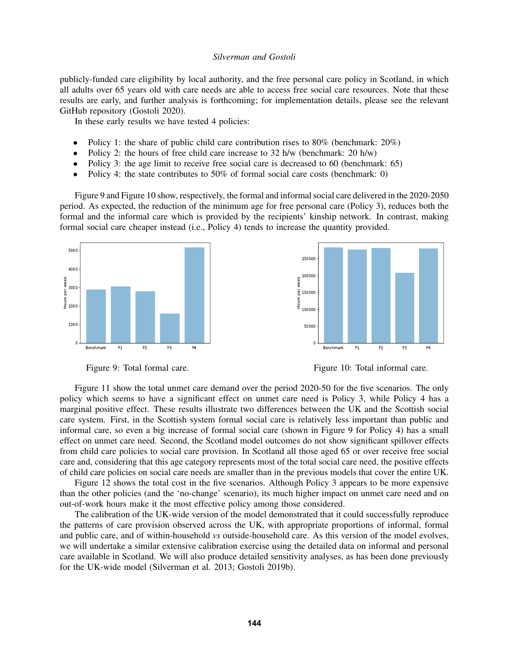publicly-funded care eligibility by local authority, and the free personal care policy in Scotland, in which all adults over 65 years old with care needs are able to access free social care resources. Note that these results are early, and further analysis is forthcoming; for implementation details, please see the relevant GitHub repository [\(Gostoli 2020\)](#page-11-19).

In these early results we have tested 4 policies:

- Policy 1: the share of public child care contribution rises to 80% (benchmark:  $20\%$ )
- Policy 2: the hours of free child care increase to  $32 \text{ h/w}$  (benchmark:  $20 \text{ h/w}$ )
- Policy 3: the age limit to receive free social care is decreased to 60 (benchmark: 65)
- Policy 4: the state contributes to 50% of formal social care costs (benchmark: 0)

Figure [9](#page-9-0) and Figure [10](#page-9-1) show, respectively, the formal and informal social care delivered in the 2020-2050 period. As expected, the reduction of the minimum age for free personal care (Policy 3), reduces both the formal and the informal care which is provided by the recipients' kinship network. In contrast, making formal social care cheaper instead (i.e., Policy 4) tends to increase the quantity provided.





<span id="page-9-0"></span>Figure 9: Total formal care.

<span id="page-9-1"></span>Figure 10: Total informal care.

Figure [11](#page-10-0) show the total unmet care demand over the period 2020-50 for the five scenarios. The only policy which seems to have a significant effect on unmet care need is Policy 3, while Policy 4 has a marginal positive effect. These results illustrate two differences between the UK and the Scottish social care system. First, in the Scottish system formal social care is relatively less important than public and informal care, so even a big increase of formal social care (shown in Figure [9](#page-9-0) for Policy 4) has a small effect on unmet care need. Second, the Scotland model outcomes do not show significant spillover effects from child care policies to social care provision. In Scotland all those aged 65 or over receive free social care and, considering that this age category represents most of the total social care need, the positive effects of child care policies on social care needs are smaller than in the previous models that cover the entire UK.

Figure [12](#page-10-1) shows the total cost in the five scenarios. Although Policy 3 appears to be more expensive than the other policies (and the 'no-change' scenario), its much higher impact on unmet care need and on out-of-work hours make it the most effective policy among those considered.

The calibration of the UK-wide version of the model demonstrated that it could successfully reproduce the patterns of care provision observed across the UK, with appropriate proportions of informal, formal and public care, and of within-household *vs* outside-household care. As this version of the model evolves, we will undertake a similar extensive calibration exercise using the detailed data on informal and personal care available in Scotland. We will also produce detailed sensitivity analyses, as has been done previously for the UK-wide model [\(Silverman et al. 2013;](#page-11-7) [Gostoli 2019b\)](#page-11-16).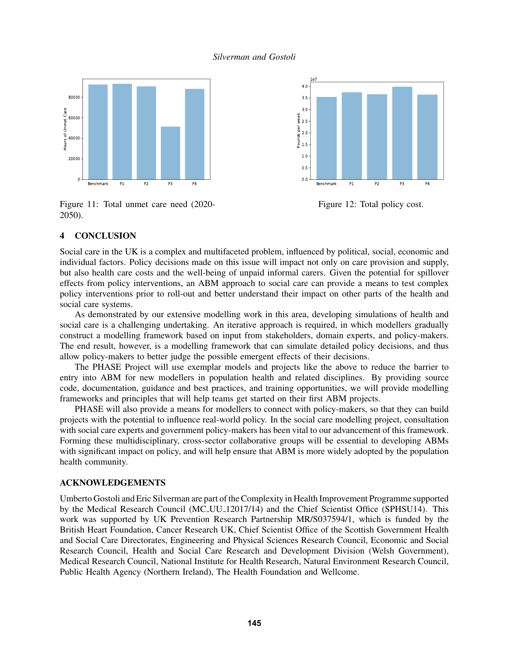



<span id="page-10-1"></span>Figure 12: Total policy cost.

# <span id="page-10-0"></span>Figure 11: Total unmet care need (2020- 2050).

# 4 CONCLUSION

Social care in the UK is a complex and multifaceted problem, influenced by political, social, economic and individual factors. Policy decisions made on this issue will impact not only on care provision and supply, but also health care costs and the well-being of unpaid informal carers. Given the potential for spillover effects from policy interventions, an ABM approach to social care can provide a means to test complex policy interventions prior to roll-out and better understand their impact on other parts of the health and social care systems.

As demonstrated by our extensive modelling work in this area, developing simulations of health and social care is a challenging undertaking. An iterative approach is required, in which modellers gradually construct a modelling framework based on input from stakeholders, domain experts, and policy-makers. The end result, however, is a modelling framework that can simulate detailed policy decisions, and thus allow policy-makers to better judge the possible emergent effects of their decisions.

The PHASE Project will use exemplar models and projects like the above to reduce the barrier to entry into ABM for new modellers in population health and related disciplines. By providing source code, documentation, guidance and best practices, and training opportunities, we will provide modelling frameworks and principles that will help teams get started on their first ABM projects.

PHASE will also provide a means for modellers to connect with policy-makers, so that they can build projects with the potential to influence real-world policy. In the social care modelling project, consultation with social care experts and government policy-makers has been vital to our advancement of this framework. Forming these multidisciplinary, cross-sector collaborative groups will be essential to developing ABMs with significant impact on policy, and will help ensure that ABM is more widely adopted by the population health community.

### ACKNOWLEDGEMENTS

Umberto Gostoli and Eric Silverman are part of the Complexity in Health Improvement Programme supported by the Medical Research Council (MC UU 12017/14) and the Chief Scientist Office (SPHSU14). This work was supported by UK Prevention Research Partnership MR/S037594/1, which is funded by the British Heart Foundation, Cancer Research UK, Chief Scientist Office of the Scottish Government Health and Social Care Directorates, Engineering and Physical Sciences Research Council, Economic and Social Research Council, Health and Social Care Research and Development Division (Welsh Government), Medical Research Council, National Institute for Health Research, Natural Environment Research Council, Public Health Agency (Northern Ireland), The Health Foundation and Wellcome.